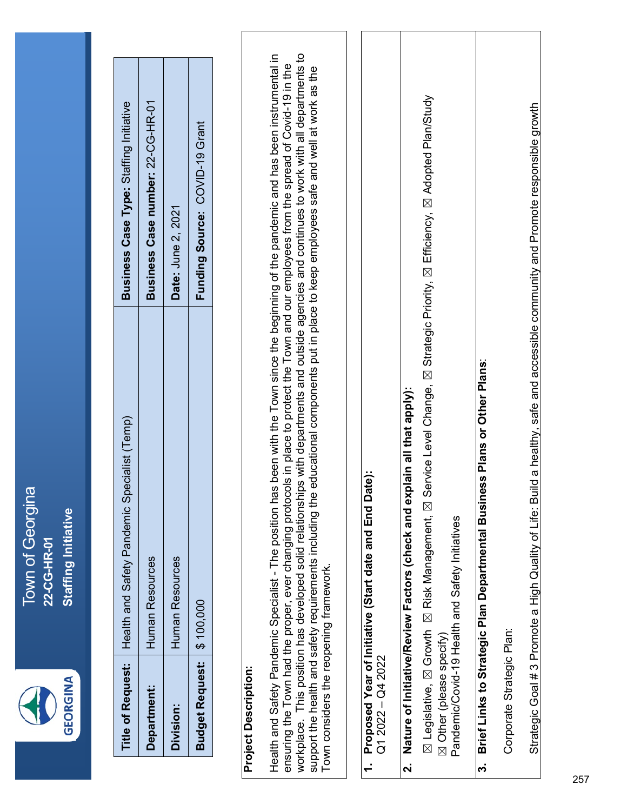| ı | π |
|---|---|
|   |   |

#### Project Description: **Project Description:**

workplace. This position has developed solid relationships with departments and outside agencies and continues to work with all departments to Health and Safety Pandemic Specialist - The position has been with the Town since the beginning of the pandemic and has been instrumental in workplace. This position has developed solid relationships with departments and outside agencies and continues to work with all departments to Health and Safety Pandemic Specialist - The position has been with the Town since the beginning of the pandemic and has been instrumental in ensuring the Town had the proper, ever changing protocols in place to protect the Town and our employees from the spread of Covid-19 in the ensuring the Town had the proper, ever changing protocols in place to protect the Town and our employees from the spread of Covid-19 in the support the health and safety requirements including the educational components put in place to keep employees safe and well at work as the support the health and safety requirements including the educational components put in place to keep employees safe and well at work as the Town considers the reopening framework. Town considers the reopening framework.

#### 1. Proposed Year of Initiative (Start date and End Date): **1. Proposed Year of Initiative (Start date and End Date):**  $Q12022 - Q42022$ Q1 2022 – Q4 2022

## **2. Nature of Initiative/Review Factors (check and explain all that apply):** Nature of Initiative/Review Factors (check and explain all that apply):  $\overline{\mathbf{a}}$

区 Risk Management, 区 Service Level Change, 区 Strategic Priority, 区 Efficiency, 区 Adopted Plan/Study ☒ Legislative, ☒ Growth ☒ Risk Management, ☒ Service Level Change, ☒ Strategic Priority, ☒ Efficiency, ☒ Adopted Plan/Study ⊠ Other (please specify)<br>Pandemic/Covid-19 Health and Safety Initiatives Pandemic/Covid-19 Health and Safety Initiatives ⊠ Legislative, **⊠** Growth ☒ Other (please specify)

## Brief Links to Strategic Plan Departmental Business Plans or Other Plans: **3. Brief Links to Strategic Plan Departmental Business Plans or Other Plans**: ..<br>ო

Corporate Strategic Plan: Corporate Strategic Plan: Strategic Goal # 3 Promote a High Quality of Life: Build a healthy, safe and accessible community and Promote responsible growth Strategic Goal # 3 Promote a High Quality of Life: Build a healthy, safe and accessible community and Promote responsible growth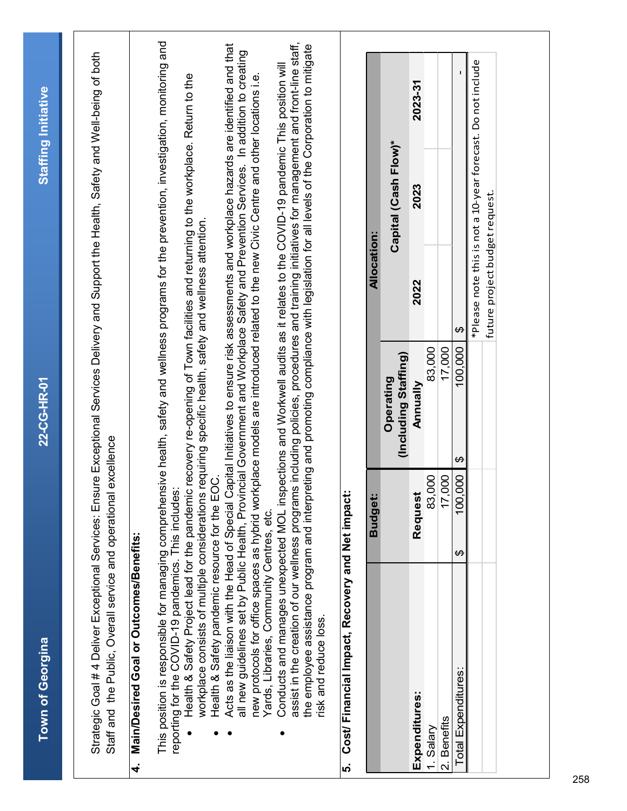| <b>Staffing Initiative</b> |                                                                                                                                                                                                      |                                                                                                                                                                                                                                                                                                                                                                                                                                                                                                                                                         |                                                                                                                                                                                                                                                                                                                                                                                 |                                                                                                                                                                                                                                                                |                                                       |                    |                                   | 2023-31       |           |                        |                                                             |  |
|----------------------------|------------------------------------------------------------------------------------------------------------------------------------------------------------------------------------------------------|---------------------------------------------------------------------------------------------------------------------------------------------------------------------------------------------------------------------------------------------------------------------------------------------------------------------------------------------------------------------------------------------------------------------------------------------------------------------------------------------------------------------------------------------------------|---------------------------------------------------------------------------------------------------------------------------------------------------------------------------------------------------------------------------------------------------------------------------------------------------------------------------------------------------------------------------------|----------------------------------------------------------------------------------------------------------------------------------------------------------------------------------------------------------------------------------------------------------------|-------------------------------------------------------|--------------------|-----------------------------------|---------------|-----------|------------------------|-------------------------------------------------------------|--|
|                            |                                                                                                                                                                                                      |                                                                                                                                                                                                                                                                                                                                                                                                                                                                                                                                                         |                                                                                                                                                                                                                                                                                                                                                                                 |                                                                                                                                                                                                                                                                |                                                       |                    | Capital (Cash Flow)*              | 2023          |           |                        | *Please note this is not a 10-year forecast. Do not include |  |
|                            |                                                                                                                                                                                                      |                                                                                                                                                                                                                                                                                                                                                                                                                                                                                                                                                         |                                                                                                                                                                                                                                                                                                                                                                                 |                                                                                                                                                                                                                                                                |                                                       | <b>Allocation:</b> |                                   |               |           |                        |                                                             |  |
|                            |                                                                                                                                                                                                      |                                                                                                                                                                                                                                                                                                                                                                                                                                                                                                                                                         |                                                                                                                                                                                                                                                                                                                                                                                 |                                                                                                                                                                                                                                                                |                                                       |                    |                                   | 2022          |           |                        | future project budget request.                              |  |
|                            |                                                                                                                                                                                                      |                                                                                                                                                                                                                                                                                                                                                                                                                                                                                                                                                         |                                                                                                                                                                                                                                                                                                                                                                                 |                                                                                                                                                                                                                                                                |                                                       |                    |                                   |               |           | ↔                      |                                                             |  |
| 22-CG-HR-01                |                                                                                                                                                                                                      |                                                                                                                                                                                                                                                                                                                                                                                                                                                                                                                                                         | kplace models are introduced related to the new Civic Centre and other locations i.e.                                                                                                                                                                                                                                                                                           | is including policies, procedures and training initiatives for management and front-line staff,<br>pections and Workwell audits as it relates to the COVID-19 pandemic This position will                                                                      |                                                       |                    | (Including Staffing)<br>Operating | Mnnually      | 83,000    | 100,000<br>17,000      |                                                             |  |
|                            | excellence                                                                                                                                                                                           |                                                                                                                                                                                                                                                                                                                                                                                                                                                                                                                                                         |                                                                                                                                                                                                                                                                                                                                                                                 |                                                                                                                                                                                                                                                                |                                                       |                    |                                   |               |           | $\boldsymbol{\varphi}$ |                                                             |  |
|                            |                                                                                                                                                                                                      |                                                                                                                                                                                                                                                                                                                                                                                                                                                                                                                                                         |                                                                                                                                                                                                                                                                                                                                                                                 |                                                                                                                                                                                                                                                                |                                                       | <b>Budget:</b>     |                                   | Request       | 83,000    | 17,000                 | 100,000                                                     |  |
|                            |                                                                                                                                                                                                      |                                                                                                                                                                                                                                                                                                                                                                                                                                                                                                                                                         |                                                                                                                                                                                                                                                                                                                                                                                 |                                                                                                                                                                                                                                                                |                                                       |                    |                                   |               |           | ↮                      |                                                             |  |
| Town of Georgina           | Strategic Goal # 4 Deliver Exceptional Services: Ensure Exceptional Services Delivery and Support the Health, Safety and Well-being of both<br>Staff and the Public, Overall service and operational | This position is responsible for managing comprehensive health, safety and wellness programs for the prevention, investigation, monitoring and<br>Health & Safety Project lead for the pandemic recovery re-opening of Town facilities and returning to the workplace. Return to the<br>workplace consists of multiple considerations requiring specific health, safety and wellness attention.<br>Health & Safety pandemic resource for the EOC<br>reporting for the COVID-19 pandemics. This includes<br>Main/Desired Goal or Outcomes/Benefits:<br>4 | Acts as the liaison with the Head of Special Capital Initiatives to ensure risk assessments and workplace hazards are identified and that<br>all new guidelines set by Public Health, Provincial Government and Workplace Safety and Prevention Services. In addition to creating<br>new protocols for office spaces as hybrid wor<br>Yards, Libraries, Community Centres, etc. | the employee assistance program and interpreting and promoting compliance with legislation for all levels of the Corporation to mitigate<br>Conducts and manages unexpected MOL ins<br>assist in the creation of our wellness program<br>risk and reduce loss. | Cost/ Financial Impact, Recovery and Net impact<br>ທ່ |                    |                                   | Expenditures: | 1. Salary | 2. Benefits            | Total Expenditures:                                         |  |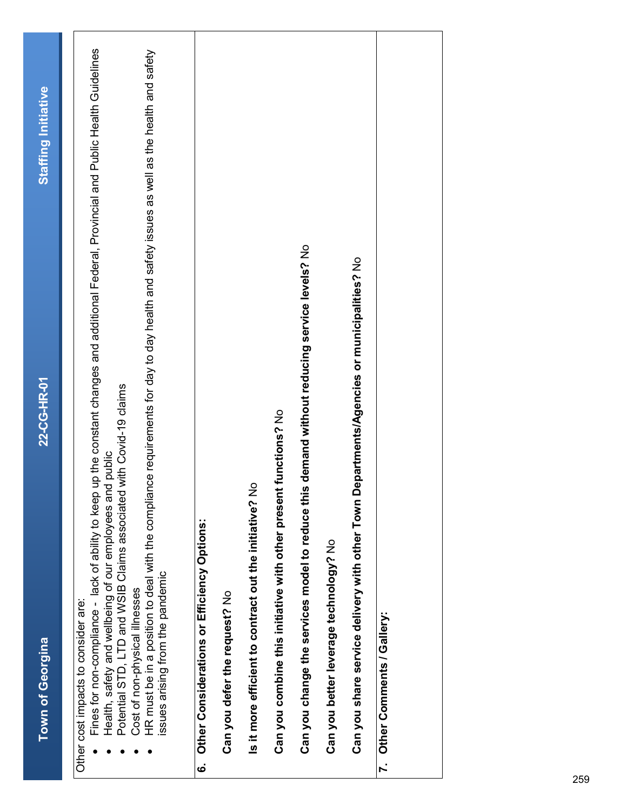|    | <b>Town of Georgina</b>                                                                                                                                                                                                                                                                                                                                                                                                   | 22-CG-HR-01                                                                                                     | Staffing Initiative |
|----|---------------------------------------------------------------------------------------------------------------------------------------------------------------------------------------------------------------------------------------------------------------------------------------------------------------------------------------------------------------------------------------------------------------------------|-----------------------------------------------------------------------------------------------------------------|---------------------|
|    | HR must be in a position to deal with the compliance requirements for day to day health and safety issues as well as the health and safety<br>Health, safety and wellbeing of our employees and public<br>Fines for non-compliance - lack of ability to keep<br>Potential STD, LTD and WSIB Claims associated<br>ssues arising from the pandemic<br>Cost of non-physical illnesses<br>Other cost impacts to consider are: | up the constant changes and additional Federal, Provincial and Public Health Guidelines<br>with Covid-19 claims |                     |
| ؘٯ | Other Considerations or Efficiency Options:                                                                                                                                                                                                                                                                                                                                                                               |                                                                                                                 |                     |
|    | Can you defer the request? No                                                                                                                                                                                                                                                                                                                                                                                             |                                                                                                                 |                     |
|    | Is it more efficient to contract out the initiative? No                                                                                                                                                                                                                                                                                                                                                                   |                                                                                                                 |                     |
|    | Can you combine this initiative with other present functions? No                                                                                                                                                                                                                                                                                                                                                          |                                                                                                                 |                     |
|    | Can you change the services model to reduce this demand without reducing service levels? No                                                                                                                                                                                                                                                                                                                               |                                                                                                                 |                     |
|    | Can you better leverage technology? No                                                                                                                                                                                                                                                                                                                                                                                    |                                                                                                                 |                     |
|    | Can you share service delivery with other Town Departments/Agencies or municipalities? No                                                                                                                                                                                                                                                                                                                                 |                                                                                                                 |                     |
|    | 7. Other Comments / Gallery:                                                                                                                                                                                                                                                                                                                                                                                              |                                                                                                                 |                     |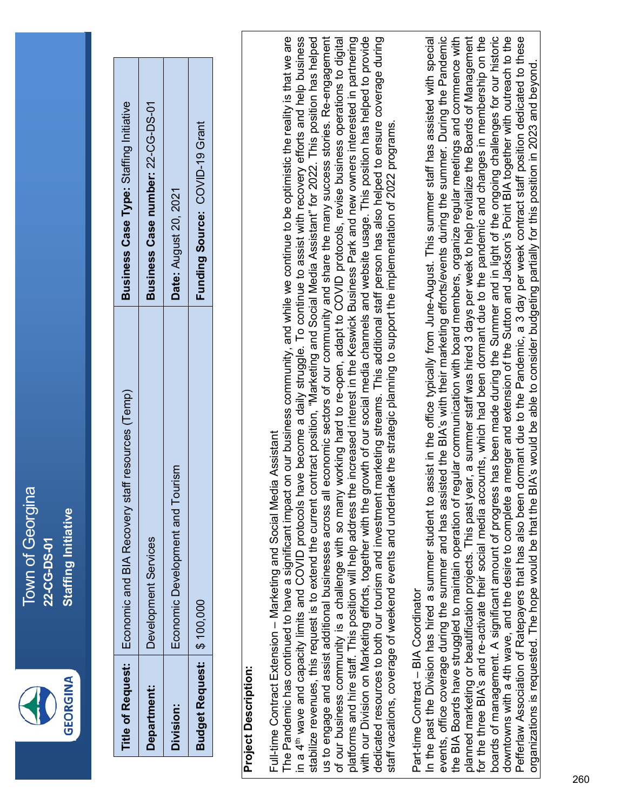

|                            | Title of Request:   Economic and BIA Recovery staff resources (Temp) | Business Case Type: Staffing Initiative |
|----------------------------|----------------------------------------------------------------------|-----------------------------------------|
| <b>Department:</b>         | Development Services                                                 | Business Case number: 22-CG-DS-01       |
| <b>Division:</b>           | Economic Development and Tourism                                     | Date: August 20, 2021                   |
| Budget Request: \$ 100,000 |                                                                      | Funding Source: COVID-19 Grant          |

#### **Project Description: Project Description:**

# Full-time Contract Extension - Marketing and Social Media Assistant Full-time Contract Extension – Marketing and Social Media Assistant

The Pandemic has continued to have a significant impact on our business community, and while we continue to be optimistic the reality is that we are in a 4<sup>th</sup> wave and capacity limits and COVID protocols have become a daily struggle. To continue to assist with recovery efforts and help business us to engage and assist additional businesses across all economic sectors of our community and share the many success stories. Re-engagement of our business community is a challenge with so many working hard to re-open, adapt to COVID protocols, revise business operations to digital platforms and hire staff. This position will help address the increased interest in the Keswick Business Park and new owners interested in partnering with our Division on Marketing efforts, together with the growth of our social media channels and website usage. This position has helped to provide dedicated resources to both our tourism and investment marketing streams. This additional staff person has also helped to ensure coverage during with our Division on Marketing efforts, together with the growth of our social media channels and website usage. This position has helped to provide The Pandemic has continued to have a significant impact on our business community, and while we continue to be optimistic the reality is that we are n a 4<sup>th</sup> wave and capacity limits and COVID protocols have become a daily struggle. To continue to assist with recovery efforts and help business stabilize revenues, this request is to extend the current contract position, "Marketing and Social Media Assistant" for 2022. This position has helped us to engage and assist additional businesses across all economic sectors of our community and share the many success stories. Re-engagement of our business community is a challenge with so many working hard to re-open, adapt to COVID protocols, revise business operations to digital platforms and hire staff. This position will help address the increased interest in the Keswick Business Park and new owners interested in partnering dedicated resources to both our tourism and investment marketing streams. This additional staff person has also helped to ensure coverage during stabilize revenues, this request is to extend the current contract position, "Marketing and Social Media Assistant" for 2022. This position has helped staff vacations, coverage of weekend events and undertake the strategic planning to support the implementation of 2022 programs. staff vacations, coverage of weekend events and undertake the strategic planning to support the implementation of 2022 programs.

### Part-time Contract - BIA Coordinator Part-time Contract – BIA Coordinator

In the past the Division has hired a summer student to assist in the office typically from June-August. This summer staff has assisted with special events, office coverage during the summer and has assisted the BIA's with their marketing efforts/events during the summer. During the Pandemic events, office coverage during the summer and has assisted the BIA's with their marketing efforts/events during the summer. During the Pandemic the BIA Boards have struggled to maintain operation of regular communication with board members, organize regular meetings and commence with planned marketing or beautification projects. This past year, a summer staff was hired 3 days per week to help revitalize the Boards of Management for the three BIA's and re-activate their social media accounts, which had been dormant due to the pandemic and changes in membership on the boards of management. A significant amount of progress has been made during the Summer and in light of the ongoing challenges for our historic downtowns with a 4th wave, and the desire to complete a merger and extension of the Sutton and Jackson's Point BIA together with outreach to the Pefferlaw Association of Ratepayers that has also been dormant due to the Pandemic, a 3 day per week contract staff position dedicated to these for the three BIA's and re-activate their social media accounts, which had been dormant due to the pandemic and changes in membership on the downtowns with a 4th wave, and the desire to complete a merger and extension of the Sutton and Jackson's Point BIA together with outreach to the Pefferlaw Association of Ratepayers that has also been dormant due to the Pandemic, a 3 day per week contract staff position dedicated to these the BIA Boards have struggled to maintain operation of regular communication with board members, organize regular meetings and commence with planned marketing or beautification projects. This past year, a summer staff was hired 3 days per week to help revitalize the Boards of Management In the past the Division has hired a summer student to assist in the office typically from June-August. This summer staff has assisted with special boards of management. A significant amount of progress has been made during the Summer and in light of the ongoing challenges for our historic organizations is requested. The hope would be that the BIA's would be able to consider budgeting partially for this position in 2023 and beyond. organizations is requested. The hope would be that the BIA's would be able to consider budgeting partially for this position in 2023 and beyond.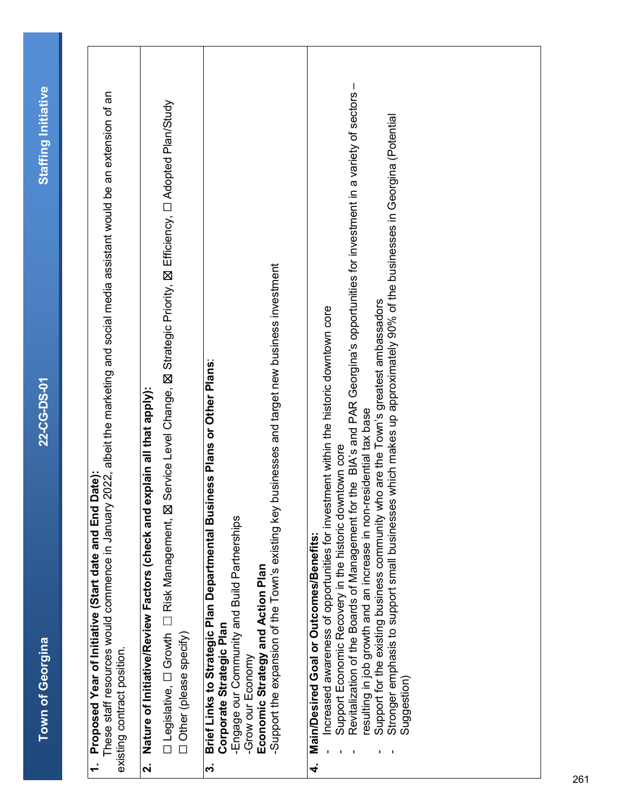| i<br>S                    |
|---------------------------|
| $\frac{1}{2}$<br><u>i</u> |
|                           |
| <b>22-CG-DS-0</b>         |
| Town of Georgina          |

| ֧֖֧֧ׅ֧֧ׅ֧֧ׅ֧֧ׅ֧֧ׅ֧֚֚֚֚֚֚֚֚֚֚֚֚֚֚֚֚֚֚֚֚֚֚֚֝֓֝֬֓֓֝֬֜֓֓֝֬֜֓֝֬֜֓֝֬֜֓<br>ı<br>ļ<br>ı<br>I |
|--------------------------------------------------------------------------------------|
| Ů                                                                                    |
| i<br>5<br>ļ<br>i                                                                     |
|                                                                                      |
|                                                                                      |
| $\frac{1}{2}$<br>5<br>5<br>2<br>2                                                    |
| <b>ACSS 2017</b><br>ı<br>ı                                                           |
| ֧֖֖֚֚֚֚֬֝֬<br>ť                                                                      |

 These staff resources would commence in January 2022, albeit the marketing and social media assistant would be an extension of an These staff resources would commence in January 2022, albeit the marketing and social media assistant would be an extension of an existing contract position. existing contract position.

## **2. Nature of Initiative/Review Factors (check and explain all that apply):** Nature of Initiative/Review Factors (check and explain all that apply):  $\overline{\mathbf{c}}$

□ Legislative, □ Growth □ Risk Management, 区 Service Level Change, 区 Strategic Priority, 区 Efficiency, □ Adopted Plan/Study ☐ Legislative, ☐ Growth ☐ Risk Management, ☒ Service Level Change, ☒ Strategic Priority, ☒ Efficiency, ☐ Adopted Plan/Study

☐ Other (please specify) Other (please specify)

### Brief Links to Strategic Plan Departmental Business Plans or Other Plans: **3. Brief Links to Strategic Plan Departmental Business Plans or Other Plans**: Corporate Strategic Plan **Corporate Strategic Plan** 3.

-Engage our Community and Build Partnerships -Engage our Community and Build Partnerships

-Grow our Economy -Grow our Economy

Economic Strategy and Action Plan **Economic Strategy and Action Plan**

Support the expansion of the Town's existing key businesses and target new business investment -Support the expansion of the Town's existing key businesses and target new business investment

### **4. Main/Desired Goal or Outcomes/Benefits:**  Main/Desired Goal or Outcomes/Benefits: ्<br>4

- Increased awareness of opportunities for investment within the historic downtown core - Increased awareness of opportunities for investment within the historic downtown core
	- Support Economic Recovery in the historic downtown core - Support Economic Recovery in the historic downtown core
- Revitalization of the Boards of Management for the BIA's and PAR Georgina's opportunities for investment in a variety of sectors-- Revitalization of the Boards of Management for the BIA's and PAR Georgina's opportunities for investment in a variety of sectors – resulting in job growth and an increase in non-residential tax base resulting in job growth and an increase in non-residential tax base
	- Support for the existing business community who are the Town's greatest ambassadors Support for the existing business community who are the Town's greatest ambassadors
- Stronger emphasis to support small businesses which makes up approximately 90% of the businesses in Georgina (Potential Stronger emphasis to support small businesses which makes up approximately 90% of the businesses in Georgina (Potential Suggestion) Suggestion)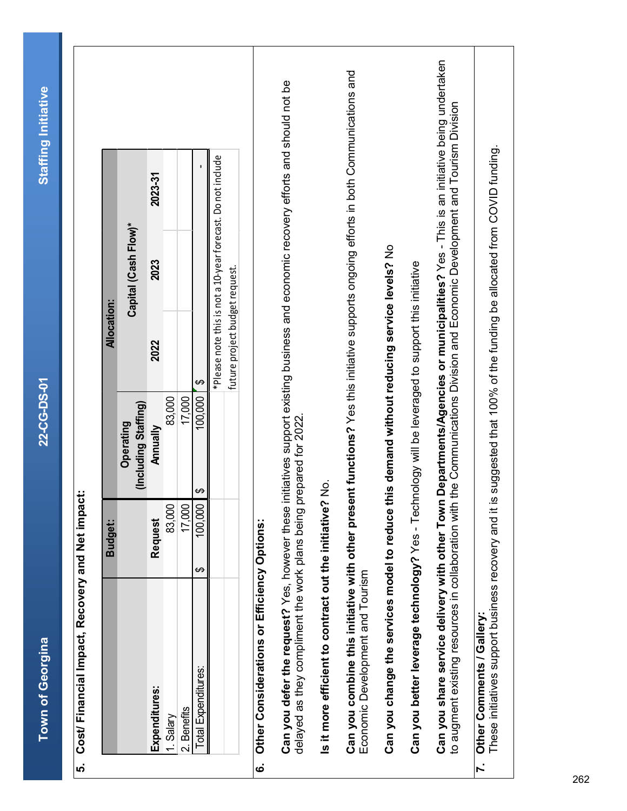**Town of Georgina 22-CG-DS-01 Staffing Initiative Town of Georgina** 

22-CG-DS-01

### Cost/ Financial Impact, Recovery and Net impact: **5. Cost/ Financial Impact, Recovery and Net impact:** ູ

| (Including Staffing)<br>Operating<br><b>Annually</b><br><b>Request</b><br>Expenditures: | Capital (Cash Flow)*                                        |         |
|-----------------------------------------------------------------------------------------|-------------------------------------------------------------|---------|
|                                                                                         |                                                             |         |
|                                                                                         | 2023<br>2022                                                | 2023-31 |
| 83,000<br>83,000<br>1. Salary                                                           |                                                             |         |
| 17,000<br>17,000<br>2. Benefits                                                         |                                                             |         |
| \$<br>100,000<br>100,000<br>G.<br>Total Expenditures:                                   |                                                             |         |
|                                                                                         | *Please note this is not a 10-year forecast. Do not include |         |
|                                                                                         | future project budget request.                              |         |

## **6. Other Considerations or Efficiency Options:**  $\dot{\mathbf{o}}$

Can you defer the request? Yes, however these initiatives support existing business and economic recovery efforts and should not be **Can you defer the request?** Yes, however these initiatives support existing business and economic recovery efforts and should not be delayed as they compliment the work plans being prepared for 2022. delayed as they compliment the work plans being prepared for 2022.

is it more efficient to contract out the initiative? No. **Is it more efficient to contract out the initiative?** No.

**Can you combine this initiative with other present functions?** Yes this initiative supports ongoing efforts in both Communications and Can you combine this initiative with other present functions? Yes this initiative supports ongoing efforts in both Communications and Economic Development and Tourism Economic Development and Tourism

Can you change the services model to reduce this demand without reducing service levels? No **Can you change the services model to reduce this demand without reducing service levels?** No

Can you better leverage technology? Yes - Technology will be leveraged to support this initiative **Can you better leverage technology?** Yes - Technology will be leveraged to support this initiative

**Can you share service delivery with other Town Departments/Agencies or municipalities?** Yes - This is an initiative being undertaken Can you share service delivery with other Town Departments/Agencies or municipalities? Yes - This is an initiative being undertaken to augment existing resources in collaboration with the Communications Division and Economic Development and Tourism Division to augment existing resources in collaboration with the Communications Division and Economic Development and Tourism Division

#### **7. Other Comments / Gallery:**  Other Comments / Gallery:  $\overline{r}$ .

 These initiatives support business recovery and it is suggested that 100% of the funding be allocated from COVID funding. These initiatives support business recovery and it is suggested that 100% of the funding be allocated from COVID funding.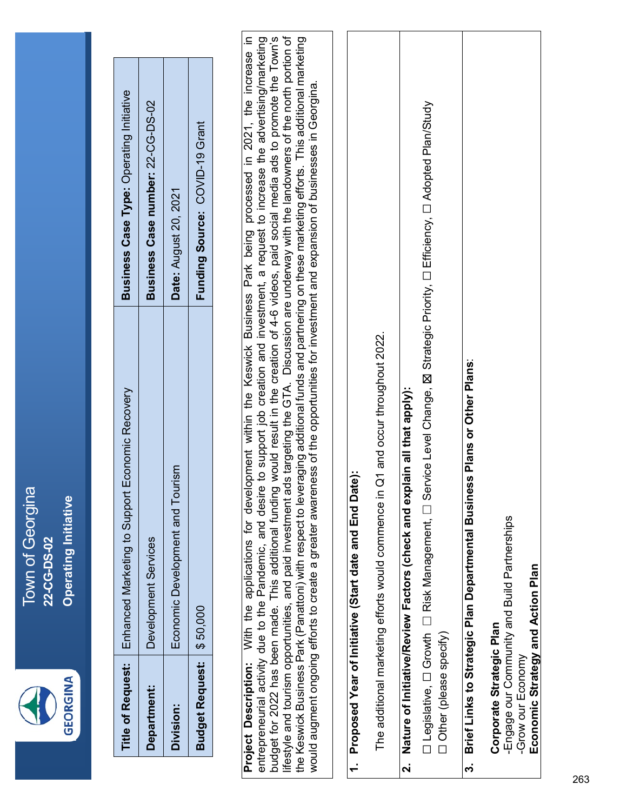

Town of Georgina Town of Georgina **Operating Initiative Operating Initiative** 22-CG-DS-02 **22-CG-DS-02**

|                             | Title of Request:   Enhanced Marketing to Support Economic Recovery | Business Case Type: Operating Initiative |
|-----------------------------|---------------------------------------------------------------------|------------------------------------------|
| Department:                 | Development Services                                                | Business Case number: 22-CG-DS-02        |
| Division:                   | Economic Development and Tourism                                    | <b>Date: August 20, 2021</b>             |
| Budget Request:   \$ 50,000 |                                                                     | Funding Source: COVID-19 Grant           |

**Project Description:** With the applications for development within the Keswick Business Park being processed in 2021, the increase in entrepreneurial activity due to the Pandemic, and desire to support job creation and investment, a request to increase the advertising/marketing<br>budget for 2022 has been made. This additional funding would result in the cr entrepreneurial activity due to the Pandemic, and desire to support job creation and investment, a request to increase the advertising/marketing budget for 2022 has been made. This additional funding would result in the creation of 4-6 videos, paid social media ads to promote the Town's lifestyle and tourism opportunities, and paid investment ads targeting the GTA. Discussion are underway with the landowners of the north portion of the Keswick Business Park (Panattoni) with respect to leveraging additional funds and partnering on these marketing efforts. This additional marketing ifestyle and tourism opportunities, and paid investment ads targeting the GTA. Discussion are underway with the landowners of the north portion of the Keswick Business Park (Panattoni) with respect to leveraging additional funds and partnering on these marketing efforts. This additional marketing Project Description: With the applications for development within the Keswick Business Park being processed in 2021, the increase in would augment ongoing efforts to create a greater awareness of the opportunities for investment and expansion of businesses in Georgina. would augment ongoing efforts to create a greater awareness of the opportunities for investment and expansion of businesses in Georgina.

## 1. Proposed Year of Initiative (Start date and End Date): **1. Proposed Year of Initiative (Start date and End Date):**

The additional marketing efforts would commence in Q1 and occur throughout 2022. The additional marketing efforts would commence in Q1 and occur throughout 2022.

## **2. Nature of Initiative/Review Factors (check and explain all that apply):** Nature of Initiative/Review Factors (check and explain all that apply): ี่ผ่

□ Legislative, □ Growth □ Risk Management, □ Service Level Change, 区 Strategic Priority, □ Efficiency, □ Adopted Plan/Study ☐ Legislative, ☐ Growth ☐ Risk Management, ☐ Service Level Change, ☒ Strategic Priority, ☐ Efficiency, ☐ Adopted Plan/Study ☐ Other (please specify) Other (please specify)

## Brief Links to Strategic Plan Departmental Business Plans or Other Plans: **3. Brief Links to Strategic Plan Departmental Business Plans or Other Plans**:  $\ddot{\mathbf{c}}$

-Engage our Community and Build Partnerships -Engage our Community and Build Partnerships Economic Strategy and Action Plan **Economic Strategy and Action Plan** Corporate Strategic Plan **Corporate Strategic Plan** -Grow our Economy -Grow our Economy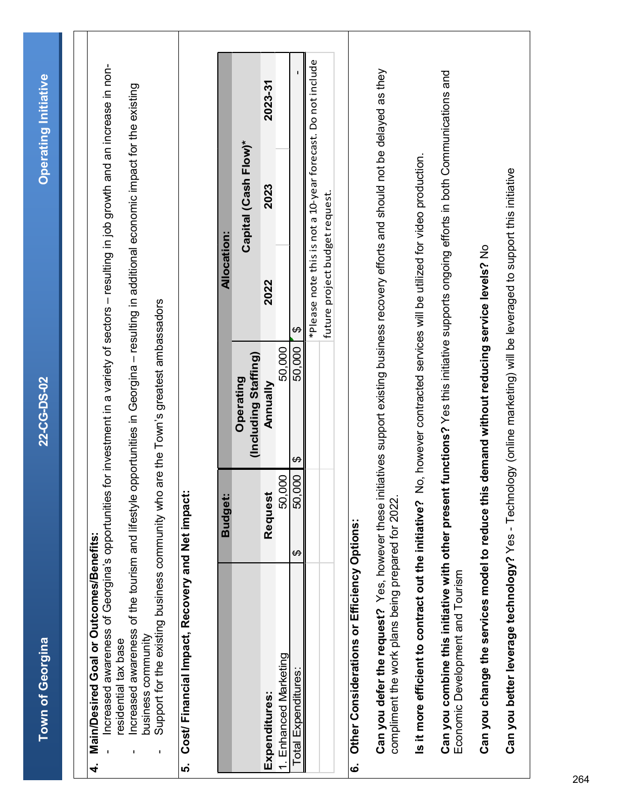| Increased awareness of Georgina's opportunities<br>Increased awareness of the tourism and lifestyle<br>Main/Desired Goal or Outcomes/Benefits:<br><b>Town of Georgina</b><br>residential tax base<br>4. |                                      | for investment in a variety of sectors - resulting in job growth and an increase in non-<br>opportunities in Georgina - resulting in additional economic impact for the existing<br>22-CG-DS-02 |                                |                                                             | <b>Operating Initiative</b> |
|---------------------------------------------------------------------------------------------------------------------------------------------------------------------------------------------------------|--------------------------------------|-------------------------------------------------------------------------------------------------------------------------------------------------------------------------------------------------|--------------------------------|-------------------------------------------------------------|-----------------------------|
| Support for the existing business community who<br>business community                                                                                                                                   |                                      | are the Town's greatest ambassadors                                                                                                                                                             |                                |                                                             |                             |
| Cost/ Financial Impact, Recovery and Net impact<br><u>ທ່</u>                                                                                                                                            |                                      |                                                                                                                                                                                                 |                                |                                                             |                             |
|                                                                                                                                                                                                         | <b>Budget:</b>                       |                                                                                                                                                                                                 | <b>Allocation:</b>             |                                                             |                             |
|                                                                                                                                                                                                         |                                      | (Including Staffing)<br>Operating                                                                                                                                                               |                                | Capital (Cash Flow)*                                        |                             |
| Expenditures:                                                                                                                                                                                           | Request                              | Mnnually                                                                                                                                                                                        | 2022                           | 2023                                                        | 2023-31                     |
| 1. Enhanced Marketing                                                                                                                                                                                   | 000<br>50,                           | 50.000                                                                                                                                                                                          |                                |                                                             |                             |
| <b>Total Expenditures</b>                                                                                                                                                                               | $\frac{1}{2}$<br>$\frac{50}{1}$<br>↔ | 50,000<br>↮                                                                                                                                                                                     | ↔                              |                                                             |                             |
|                                                                                                                                                                                                         |                                      |                                                                                                                                                                                                 | future project budget request. | *Please note this is not a 10-year forecast. Do not include |                             |
| Other Considerations or Efficiency Options:<br>نه                                                                                                                                                       |                                      |                                                                                                                                                                                                 |                                |                                                             |                             |
| Can you defer the request? Yes, however these initiatives support existing business recovery efforts and should not be delayed as they<br>compliment the work plans being prepared for 2022.            |                                      |                                                                                                                                                                                                 |                                |                                                             |                             |
| Is it more efficient to contract out the initiative?                                                                                                                                                    |                                      | No, however contracted services will be utilized for video production.                                                                                                                          |                                |                                                             |                             |
| Can you combine this initiative with other present functions? Yes this initiative supports ongoing efforts in both Communications and<br>Economic Development and Tourism                               |                                      |                                                                                                                                                                                                 |                                |                                                             |                             |
| Can you change the services model to reduce thi                                                                                                                                                         |                                      | is demand without reducing service levels? No                                                                                                                                                   |                                |                                                             |                             |
| Can you better leverage technology? Yes - Technology (online marketing) will be leveraged to support this initiative                                                                                    |                                      |                                                                                                                                                                                                 |                                |                                                             |                             |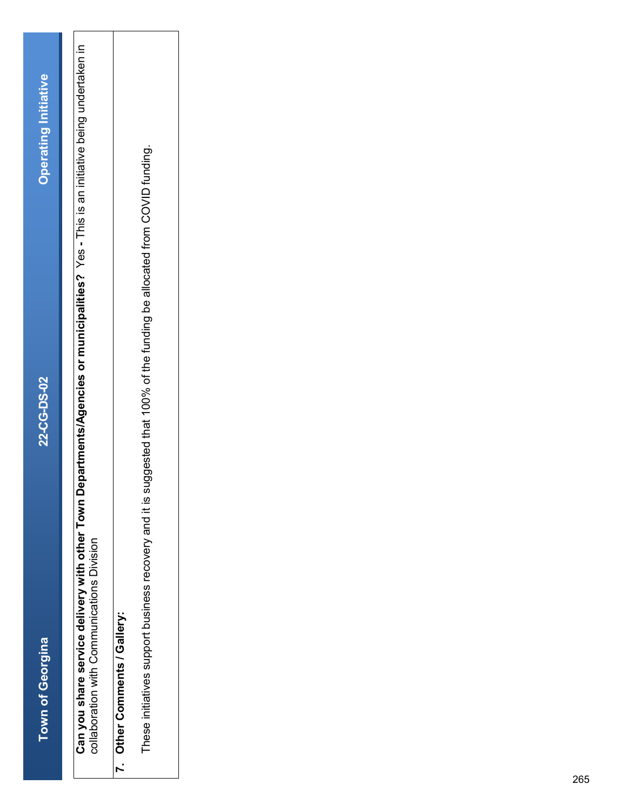| $\frac{1}{2}$ |                         |
|---------------|-------------------------|
|               |                         |
|               |                         |
|               |                         |
|               |                         |
|               |                         |
|               |                         |
|               |                         |
|               |                         |
|               |                         |
|               |                         |
|               |                         |
|               |                         |
|               |                         |
|               |                         |
|               |                         |
|               |                         |
|               |                         |
|               |                         |
|               |                         |
|               |                         |
|               |                         |
|               |                         |
|               |                         |
|               |                         |
|               |                         |
|               |                         |
|               | <b>Town of Georgina</b> |

collaboration with Communications Division<br>collaboration with Communications Division **Can you share service delivery with other Town Departments/Agencies or municipalities?** Yes **-** This is an initiative being undertaken in collaboration with Communications Division

### 7. Other Comments / Gallery: **7. Other Comments / Gallery:**

These initiatives support business recovery and it is suggested that 100% of the funding be allocated from COVID funding. These initiatives support business recovery and it is suggested that 100% of the funding be allocated from COVID funding.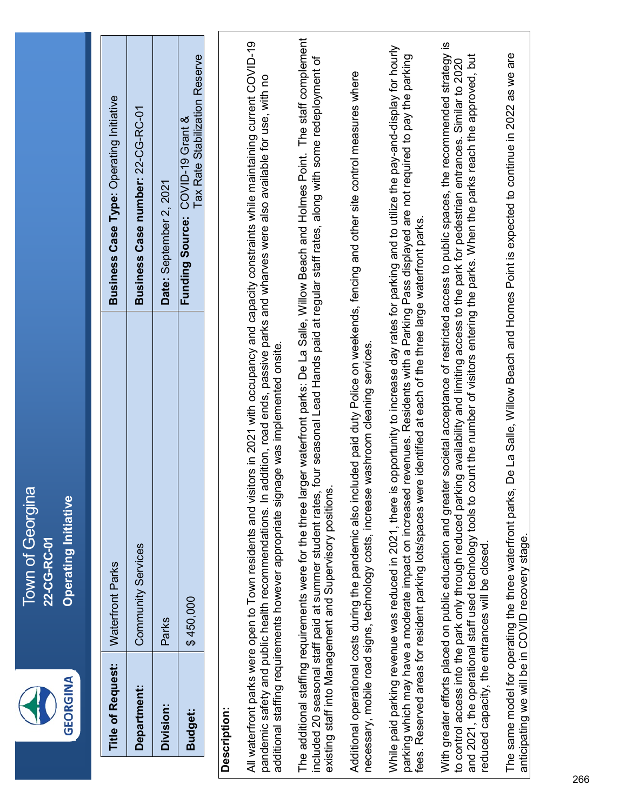| ı | ×.<br>ш<br>_<br>ī |
|---|-------------------|
|---|-------------------|

**Town of Georgina** Town of Georgina **Operating Initiative Operating Initiative** 22-CG-RC-01 **22-CG-RC-01**

| <b>Title of Request:</b> | Waterfront Parks          | <b>Business Case Type: Operating Initiative</b>                    |
|--------------------------|---------------------------|--------------------------------------------------------------------|
| <b>Jepartment:</b>       | <b>Community Services</b> | Business Case number: 22-CG-RC-01                                  |
| Division:                | Parks                     | Date: September 2, 2021                                            |
| <b>Budget:</b>           | \$450,000                 | Tax Rate Stabilization Reserve<br>Funding Source: COVID-19 Grant & |
|                          |                           |                                                                    |

#### **Description:** Description:

All waterfront parks were open to Town residents and visitors in 2021 with occupancy and capacity constraints while maintaining current COVID-19 All waterfront parks were open to Town residents and visitors in 2021 with occupancy and capacity constraints while maintaining current COVID-19 pandemic safety and public health recommendations. In addition, road ends, passive parks and wharves were also available for use, with no pandemic safety and public health recommendations. In addition, road ends, passive parks and wharves were also available for use, with no additional staffing requirements however appropriate signage was implemented onsite. additional staffing requirements however appropriate signage was implemented onsite. The additional staffing requirements were for the three larger waterfront parks: De La Salle, Willow Beach and Holmes Point. The staff complement The additional staffing requirements were for the three larger waterfront parks: De La Salle, Willow Beach and Holmes Point. The staff complement included 20 seasonal staff paid at summer student rates, four seasonal Lead Hands paid at regular staff rates, along with some redeployment of ncluded 20 seasonal staff paid at summer student rates, four seasonal Lead Hands paid at regular staff rates, along with some redeployment of existing staff into Management and Supervisory positions. existing staff into Management and Supervisory positions.

Additional operational costs during the pandemic also included paid duty Police on weekends, fencing and other site control measures where Additional operational costs during the pandemic also included paid duty Police on weekends, fencing and other site control measures where necessary, mobile road signs, technology costs, increase washroom cleaning services. necessary, mobile road signs, technology costs, increase washroom cleaning services.

While paid parking revenue was reduced in 2021, there is opportunity to increase day rates for parking and to utilize the pay-and-display for hourly While paid parking revenue was reduced in 2021, there is opportunity to increase day rates for parking and to utilize the pay-and-display for hourly parking which may have a moderate impact on increased revenues. Residents with a Parking Pass displayed are not required to pay the parking parking which may have a moderate impact on increased revenues. Residents with a Parking Pass displayed are not required to pay the parking fees. Reserved areas for resident parking lots/spaces were identified at each of the three large waterfront parks. fees. Reserved areas for resident parking lots/spaces were identified at each of the three large waterfront parks.

With greater efforts placed on public education and greater societal acceptance of restricted access to public spaces, the recommended strategy is With greater efforts placed on public education and greater societal acceptance of restricted access to public spaces, the recommended strategy is and 2021, the operational staff used technology tools to count the number of visitors entering the parks. When the parks reach the approved, but and 2021, the operational staff used technology tools to count the number of visitors entering the parks. When the parks reach the approved, but to control access into the park only through reduced parking availability and limiting access to the park for pedestrian entrances. Similar to 2020 to control access into the park only through reduced parking availability and limiting access to the park for pedestrian entrances. Similar to 2020 educed capacity, the entrances will be closed. reduced capacity, the entrances will be closed.

The same model for operating the three waterfront parks, De La Salle, Willow Beach and Homes Point is expected to continue in 2022 as we are The same model for operating the three waterfront parks, De La Salle, Willow Beach and Homes Point is expected to continue in 2022 as we are anticipating we will be in COVID recovery stage. anticipating we will be in COVID recovery stage.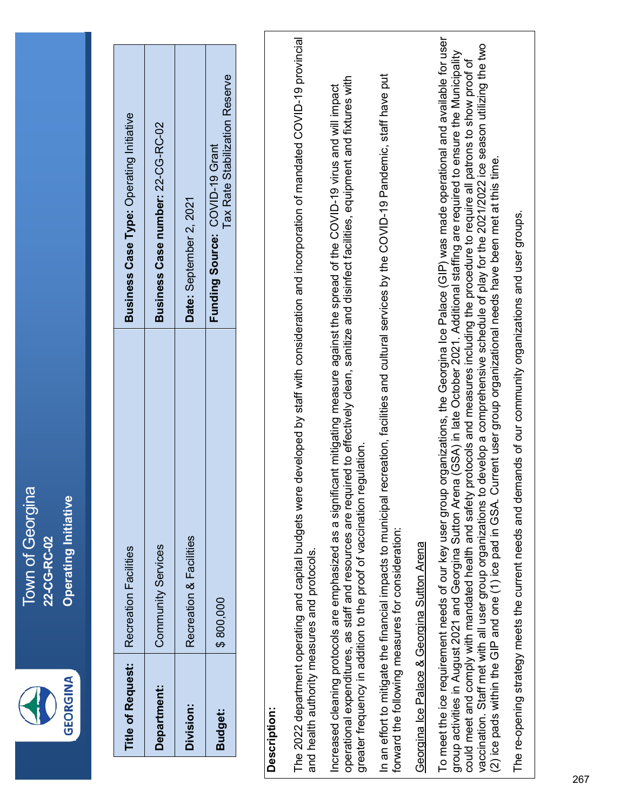

Town of Georgina Town of Georgina **Operating Initiative Operating Initiative** 22-CG-RC-02 **22-CG-RC-02**

| <b>Title of Request:</b> | <b>Recreation Facilities</b> | Business Case Type: Operating Initiative                         |
|--------------------------|------------------------------|------------------------------------------------------------------|
| Department:              | Community Services           | Business Case number: 22-CG-RC-02                                |
| <b>Division:</b>         | Recreation & Facilities      | Date: September 2, 2021                                          |
| Budget:                  | \$800,000                    | Tax Rate Stabilization Reserve<br>Funding Source: COVID-19 Grant |

#### **Description:** Description:

The 2022 department operating and capital budgets were developed by staff with consideration and incorporation of mandated COVID-19 provincial The 2022 department operating and capital budgets were developed by staff with consideration and incorporation of mandated COVID-19 provincial and health authority measures and protocols. and health authority measures and protocols.

operational expenditures, as staff and resources are required to effectively clean, sanitize and disinfect facilities, equipment and fixtures with operational expenditures, as staff and resources are required to effectively clean, sanitize and disinfect facilities, equipment and fixtures with Increased cleaning protocols are emphasized as a significant mitigating measure against the spread of the COVID-19 virus and will impact Increased cleaning protocols are emphasized as a significant mitigating measure against the spread of the COVID-19 virus and will impact greater frequency in addition to the proof of vaccination regulation. greater frequency in addition to the proof of vaccination regulation.

In an effort to mitigate the financial impacts to municipal recreation, facilities and cultural services by the COVID-19 Pandemic, staff have put In an effort to mitigate the financial impacts to municipal recreation, facilities and cultural services by the COVID-19 Pandemic, staff have put forward the following measures for consideration: forward the following measures for consideration:

### Georgina Ice Palace & Georgina Sutton Arena Georgina Ice Palace & Georgina Sutton Arena

To meet the ice requirement needs of our key user group organizations, the Georgina Ice Palace (GIP) was made operational and available for user To meet the ice requirement needs of our key user group organizations, the Georgina Ice Palace (GIP) was made operational and available for user vaccination. Staff met with all user group organizations to develop a comprehensive schedule of play for the 2021/2022 ice season utilizing the two vaccination. Staff met with all user group organizations to develop a comprehensive schedule of play for the 2021/2022 ice season utilizing the two group activities in August 2021 and Georgina Sutton Arena (GSA) in late October 2021. Additional staffing are required to ensure the Municipality group activities in August 2021 and Georgina Sutton Arena (GSA) in late October 2021. Additional staffing are required to ensure the Municipality could meet and comply with mandated health and safety protocols and measures including the procedure to require all patrons to show proof of could meet and comply with mandated health and safety protocols and measures including the procedure to require all patrons to show proof of (2) ice pads within the GIP and one (1) ice pad in GSA. Current user group organizational needs have been met at this time. (2) ice pads within the GIP and one (1) ice pad in GSA. Current user group organizational needs have been met at this time.

The re-opening strategy meets the current needs and demands of our community organizations and user groups. The re-opening strategy meets the current needs and demands of our community organizations and user groups